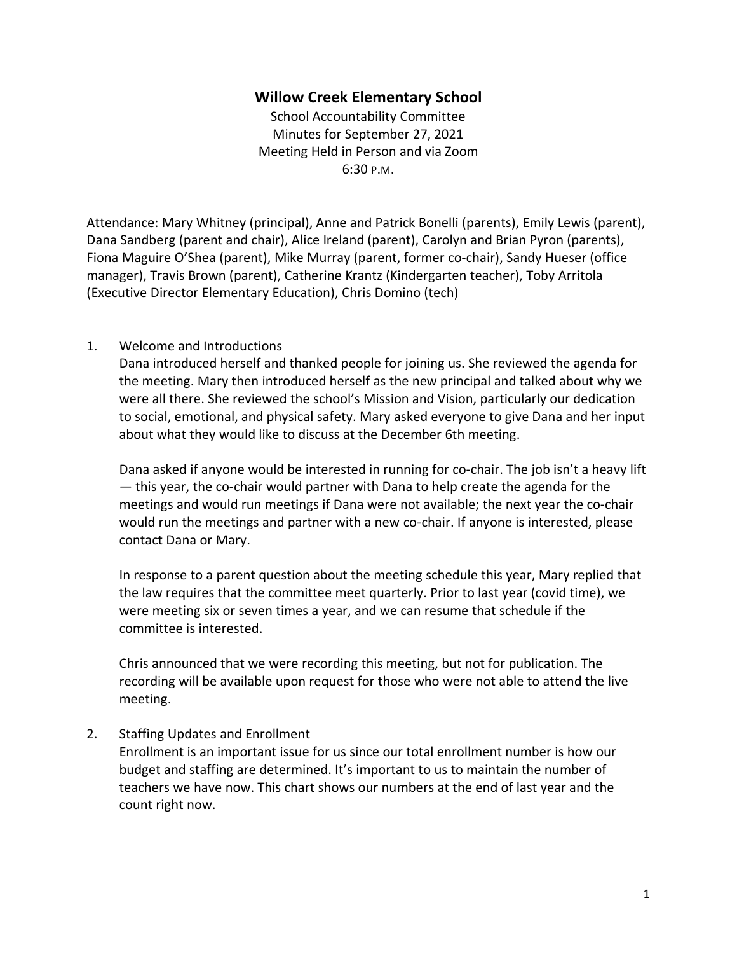# **Willow Creek Elementary School**

School Accountability Committee Minutes for September 27, 2021 Meeting Held in Person and via Zoom 6:30 P.M.

Attendance: Mary Whitney (principal), Anne and Patrick Bonelli (parents), Emily Lewis (parent), Dana Sandberg (parent and chair), Alice Ireland (parent), Carolyn and Brian Pyron (parents), Fiona Maguire O'Shea (parent), Mike Murray (parent, former co-chair), Sandy Hueser (office manager), Travis Brown (parent), Catherine Krantz (Kindergarten teacher), Toby Arritola (Executive Director Elementary Education), Chris Domino (tech)

### 1. Welcome and Introductions

Dana introduced herself and thanked people for joining us. She reviewed the agenda for the meeting. Mary then introduced herself as the new principal and talked about why we were all there. She reviewed the school's Mission and Vision, particularly our dedication to social, emotional, and physical safety. Mary asked everyone to give Dana and her input about what they would like to discuss at the December 6th meeting.

Dana asked if anyone would be interested in running for co-chair. The job isn't a heavy lift — this year, the co-chair would partner with Dana to help create the agenda for the meetings and would run meetings if Dana were not available; the next year the co-chair would run the meetings and partner with a new co-chair. If anyone is interested, please contact Dana or Mary.

In response to a parent question about the meeting schedule this year, Mary replied that the law requires that the committee meet quarterly. Prior to last year (covid time), we were meeting six or seven times a year, and we can resume that schedule if the committee is interested.

Chris announced that we were recording this meeting, but not for publication. The recording will be available upon request for those who were not able to attend the live meeting.

# 2. Staffing Updates and Enrollment

Enrollment is an important issue for us since our total enrollment number is how our budget and staffing are determined. It's important to us to maintain the number of teachers we have now. This chart shows our numbers at the end of last year and the count right now.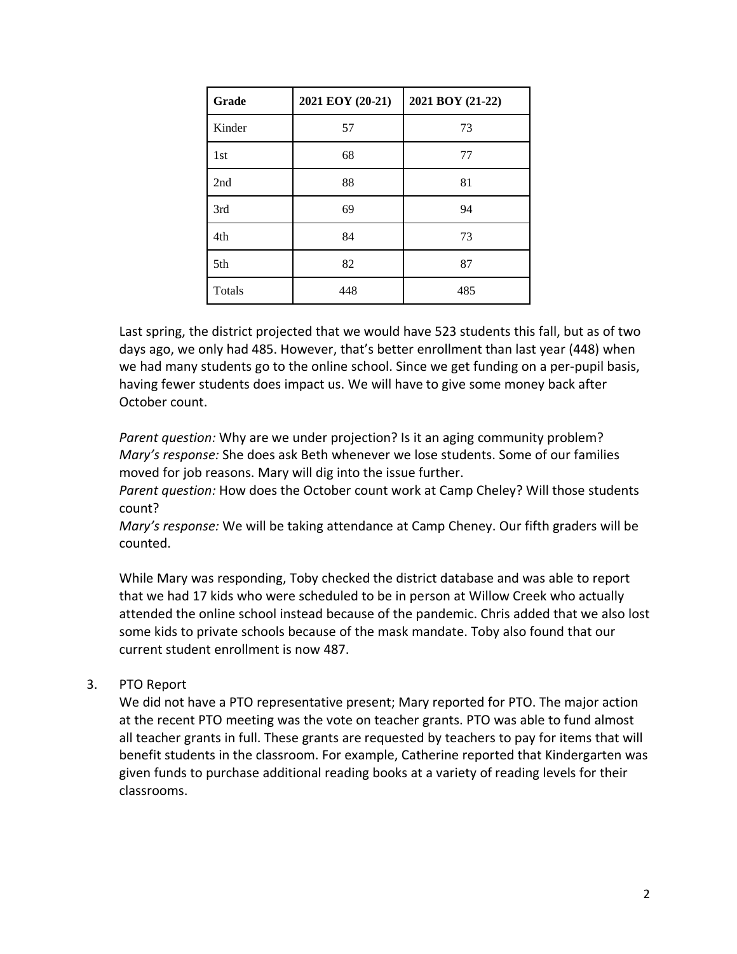| Grade         | 2021 EOY (20-21) | 2021 BOY (21-22) |
|---------------|------------------|------------------|
| Kinder        | 57               | 73               |
| 1st           | 68               | 77               |
| 2nd           | 88               | 81               |
| 3rd           | 69               | 94               |
| 4th           | 84               | 73               |
| 5th           | 82               | 87               |
| <b>Totals</b> | 448              | 485              |

Last spring, the district projected that we would have 523 students this fall, but as of two days ago, we only had 485. However, that's better enrollment than last year (448) when we had many students go to the online school. Since we get funding on a per-pupil basis, having fewer students does impact us. We will have to give some money back after October count.

*Parent question:* Why are we under projection? Is it an aging community problem? *Mary's response:* She does ask Beth whenever we lose students. Some of our families moved for job reasons. Mary will dig into the issue further.

*Parent question:* How does the October count work at Camp Cheley? Will those students count?

*Mary's response:* We will be taking attendance at Camp Cheney. Our fifth graders will be counted.

While Mary was responding, Toby checked the district database and was able to report that we had 17 kids who were scheduled to be in person at Willow Creek who actually attended the online school instead because of the pandemic. Chris added that we also lost some kids to private schools because of the mask mandate. Toby also found that our current student enrollment is now 487.

# 3. PTO Report

We did not have a PTO representative present; Mary reported for PTO. The major action at the recent PTO meeting was the vote on teacher grants. PTO was able to fund almost all teacher grants in full. These grants are requested by teachers to pay for items that will benefit students in the classroom. For example, Catherine reported that Kindergarten was given funds to purchase additional reading books at a variety of reading levels for their classrooms.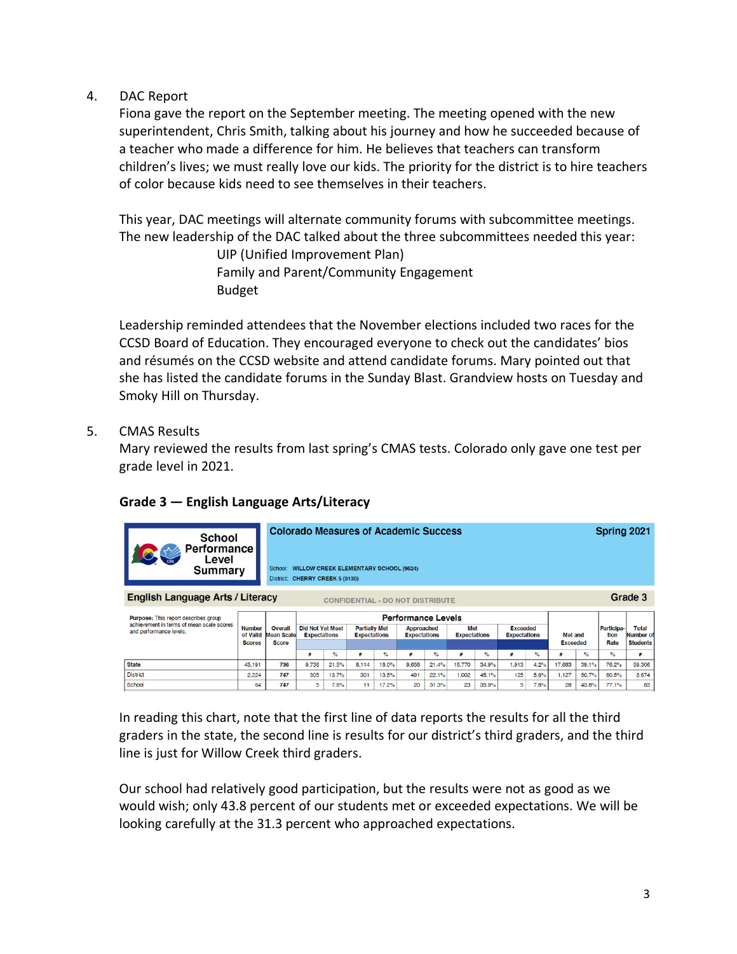### 4. DAC Report

Fiona gave the report on the September meeting. The meeting opened with the new superintendent, Chris Smith, talking about his journey and how he succeeded because of a teacher who made a difference for him. He believes that teachers can transform children's lives; we must really love our kids. The priority for the district is to hire teachers of color because kids need to see themselves in their teachers.

This year, DAC meetings will alternate community forums with subcommittee meetings. The new leadership of the DAC talked about the three subcommittees needed this year:

> UIP (Unified Improvement Plan) Family and Parent/Community Engagement Budget

Leadership reminded attendees that the November elections included two races for the CCSD Board of Education. They encouraged everyone to check out the candidates' bios and résumés on the CCSD website and attend candidate forums. Mary pointed out that she has listed the candidate forums in the Sunday Blast. Grandview hosts on Tuesday and Smoky Hill on Thursday.

# 5. CMAS Results

Mary reviewed the results from last spring's CMAS tests. Colorado only gave one test per grade level in 2021.

| <b>School</b><br><b>Performance</b><br>Level<br>Summary                            |                           | School:<br>District:  | <b>Colorado Measures of Academic Success</b><br><b>WILLOW CREEK ELEMENTARY SCHOOL (9624)</b><br><b>CHERRY CREEK 5 (0130)</b> |                           |                                             |       |                                          |               |                            | Spring 2021 |                                        |                 |         |       |                    |                    |
|------------------------------------------------------------------------------------|---------------------------|-----------------------|------------------------------------------------------------------------------------------------------------------------------|---------------------------|---------------------------------------------|-------|------------------------------------------|---------------|----------------------------|-------------|----------------------------------------|-----------------|---------|-------|--------------------|--------------------|
| <b>English Language Arts / Literacy</b><br><b>CONFIDENTIAL - DO NOT DISTRIBUTE</b> |                           |                       |                                                                                                                              |                           |                                             |       |                                          |               |                            | Grade 3     |                                        |                 |         |       |                    |                    |
| <b>Purpose:</b> This report describes group                                        |                           |                       |                                                                                                                              | <b>Performance Levels</b> |                                             |       |                                          |               |                            |             |                                        |                 |         |       |                    |                    |
| achievement in terms of mean scale scores<br>and performance levels.               | <b>Number</b><br>of Valld | Overall<br>Mean Scale | <b>Did Not Yet Meet</b><br><b>Expectations</b>                                                                               |                           | <b>Partially Met</b><br><b>Expectations</b> |       | <b>Approached</b><br><b>Expectations</b> |               | Met<br><b>Expectations</b> |             | <b>Exceeded</b><br><b>Expectations</b> |                 | Met and |       | Participa-<br>tion | Total<br>Number of |
|                                                                                    | <b>Score</b>              |                       |                                                                                                                              |                           |                                             |       |                                          |               |                            |             |                                        | <b>Exceeded</b> |         | Rate  | <b>Students</b>    |                    |
|                                                                                    |                           |                       | #                                                                                                                            | $\%$                      | #                                           | %     | ä                                        | $\frac{1}{6}$ | A                          | $\%$        |                                        | $\frac{6}{6}$   |         | $\%$  | $\%$               |                    |
| <b>State</b>                                                                       | 45.191                    | 736                   | 9.736                                                                                                                        | 21.5%                     | 8.114                                       | 18.0% | 9,658                                    | 21.4%         | 15,770                     | 34.9%       | 1.913                                  | 4.2%            | 17,683  | 39.1% | 76.2%              | 59,306             |
| <b>District</b>                                                                    | 2.224                     | 747                   | 305                                                                                                                          | 13.7%                     | 301                                         | 13.5% | 491                                      | 22.1%         | 1,002                      | 45.1%       | 125                                    | 5.6%            | 1.127   | 50.7% | 60.5%              | 3,674              |
| School                                                                             | 64                        | 747                   | 5                                                                                                                            | 7.8%                      | 11                                          | 17.2% | 20                                       | 31.3%         | 23                         | 35.9%       | 5:                                     | 7.8%            | 28      | 43.8% | 77.1%              | 83                 |

# **Grade 3 — English Language Arts/Literacy**

In reading this chart, note that the first line of data reports the results for all the third graders in the state, the second line is results for our district's third graders, and the third line is just for Willow Creek third graders.

Our school had relatively good participation, but the results were not as good as we would wish; only 43.8 percent of our students met or exceeded expectations. We will be looking carefully at the 31.3 percent who approached expectations.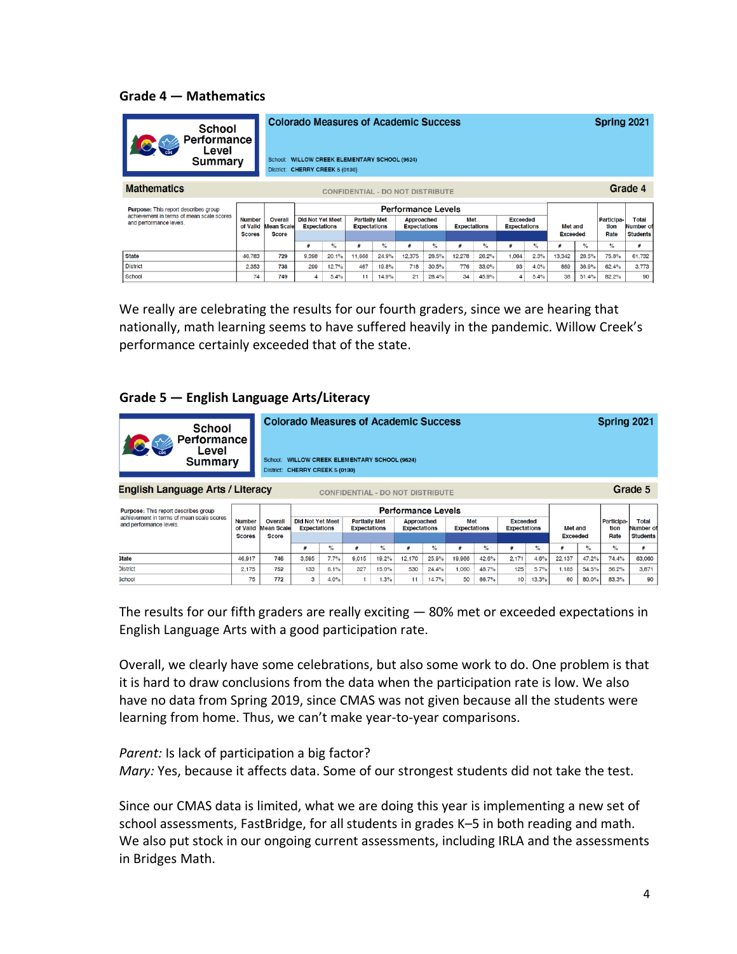### **Grade 4 — Mathematics**

| <b>School</b><br><b>Performance</b><br>Level<br>Summary              |                           | School:                                 | <b>Colorado Measures of Academic Success</b><br><b>WILLOW CREEK ELEMENTARY SCHOOL (9624)</b><br>District: CHERRY CREEK 5 (0130) |                           |                                             |       |                                          |       |                            |       |                                        | Spring 2021 |                 |         |                    |                           |
|----------------------------------------------------------------------|---------------------------|-----------------------------------------|---------------------------------------------------------------------------------------------------------------------------------|---------------------------|---------------------------------------------|-------|------------------------------------------|-------|----------------------------|-------|----------------------------------------|-------------|-----------------|---------|--------------------|---------------------------|
| <b>Mathematics</b>                                                   |                           | <b>CONFIDENTIAL - DO NOT DISTRIBUTE</b> |                                                                                                                                 |                           |                                             |       |                                          |       |                            |       |                                        |             |                 | Grade 4 |                    |                           |
| <b>Purpose:</b> This report describes group                          |                           |                                         |                                                                                                                                 | <b>Performance Levels</b> |                                             |       |                                          |       |                            |       |                                        |             |                 |         |                    |                           |
| achievement in terms of mean scale scores<br>and performance levels. | <b>Number</b><br>of Valld | Overall<br><b>Mean Scale</b>            | <b>Did Not Yet Meet</b><br><b>Expectations</b>                                                                                  |                           | <b>Partially Met</b><br><b>Expectations</b> |       | <b>Approached</b><br><b>Expectations</b> |       | Met<br><b>Expectations</b> |       | <b>Exceeded</b><br><b>Expectations</b> |             | Met and         |         | Participa-<br>tlon | <b>Total</b><br>Number of |
|                                                                      | <b>Scores</b>             | <b>Score</b>                            |                                                                                                                                 |                           |                                             |       |                                          |       |                            |       |                                        |             | <b>Exceeded</b> |         | Rate               | <b>Students</b>           |
|                                                                      |                           |                                         | #                                                                                                                               | $\%$                      | #                                           | $\%$  | #                                        | %     | #                          | $\%$  | #                                      | $\%$        | 쑈               | $\%$    | $\frac{1}{2}$      | #                         |
| <b>State</b>                                                         | 46,783                    | 729                                     | 9,398                                                                                                                           | 20.1%                     | 11,668                                      | 24.9% | 12.375                                   | 26.5% | 12.278                     | 26.2% | 1.064                                  | 2.3%        | 13,342          | 28.5%   | 75.8%              | 61,732                    |
| <b>District</b>                                                      | 2.353                     | 738                                     | 299                                                                                                                             | 12.7%                     | 467                                         | 19.8% | 718                                      | 30.5% | 776                        | 33.0% | 93                                     | 4.0%        | 869             | 36.9%   | 62.4%              | 3,773                     |
| School                                                               | 74                        | 749                                     | 4                                                                                                                               | 5.4%                      | 11                                          | 14.9% | 21                                       | 28.4% | 34                         | 45.9% |                                        | 5.4%        | 38              | 51.4%   | 82.2%              | 90                        |

We really are celebrating the results for our fourth graders, since we are hearing that nationally, math learning seems to have suffered heavily in the pandemic. Willow Creek's performance certainly exceeded that of the state.

### **Grade 5 — English Language Arts/Literacy**

| <b>School</b><br><b>Performance</b><br>Level<br><b>Summary</b>                         |                           | <b>Colorado Measures of Academic Success</b><br>Spring 2021<br><b>WILLOW CREEK ELEMENTARY SCHOOL (9624)</b><br>School:<br>CHERRY CREEK 5 (0130)<br>District: |                                                |      |                                             |       |                                          |       |                            |       |                                        |       |                 |       |                    |                           |
|----------------------------------------------------------------------------------------|---------------------------|--------------------------------------------------------------------------------------------------------------------------------------------------------------|------------------------------------------------|------|---------------------------------------------|-------|------------------------------------------|-------|----------------------------|-------|----------------------------------------|-------|-----------------|-------|--------------------|---------------------------|
| Grade 5<br>English Language Arts / Literacy<br><b>CONFIDENTIAL - DO NOT DISTRIBUTE</b> |                           |                                                                                                                                                              |                                                |      |                                             |       |                                          |       |                            |       |                                        |       |                 |       |                    |                           |
| <b>Purpose:</b> This report describes group                                            |                           |                                                                                                                                                              | <b>Performance Levels</b>                      |      |                                             |       |                                          |       |                            |       |                                        |       |                 |       |                    |                           |
| achievement in terms of mean scale scores<br>and performance levels.                   | <b>Number</b><br>of Valld | <b>Overall</b><br><b>Mean Scale</b>                                                                                                                          | <b>Did Not Yet Meet</b><br><b>Expectations</b> |      | <b>Partially Met</b><br><b>Expectations</b> |       | <b>Approached</b><br><b>Expectations</b> |       | Met<br><b>Expectations</b> |       | <b>Exceeded</b><br><b>Expectations</b> |       | Met and         |       | Participa-<br>tion | <b>Total</b><br>Number of |
|                                                                                        | <b>Scores</b>             | <b>Score</b>                                                                                                                                                 |                                                |      |                                             |       |                                          |       |                            |       |                                        |       | <b>Exceeded</b> |       | Rate               | <b>Students</b>           |
|                                                                                        |                           |                                                                                                                                                              | #                                              | $\%$ |                                             | $\%$  | ≝                                        | $\%$  | 표                          | $\%$  | #                                      | $\%$  | 丑               | $\%$  | $\%$               | 4                         |
| <b>State</b>                                                                           | 46,917                    | 746                                                                                                                                                          | 3,595                                          | 7.7% | 9,015                                       | 19.2% | 12,170                                   | 25.9% | 19,966                     | 42.6% | 2.171                                  | 4.6%  | 22,137          | 47.2% | 74.4%              | 63,060                    |
| <b>District</b>                                                                        | 2.175                     | 752                                                                                                                                                          | 133                                            | 6.1% | 327                                         | 15.0% | 530                                      | 24.4% | 1.060                      | 48.7% | 125                                    | 5.7%  | 1.185           | 54.5% | 56.2%              | 3,871                     |
| <b>School</b>                                                                          | 75                        | 772                                                                                                                                                          | 3                                              | 4.0% |                                             | 1.3%  | 11                                       | 14.7% | 50                         | 66.7% | 10                                     | 13.3% | 60              | 80.0% | 83.3%              | 90                        |

The results for our fifth graders are really exciting — 80% met or exceeded expectations in English Language Arts with a good participation rate.

Overall, we clearly have some celebrations, but also some work to do. One problem is that it is hard to draw conclusions from the data when the participation rate is low. We also have no data from Spring 2019, since CMAS was not given because all the students were learning from home. Thus, we can't make year-to-year comparisons.

*Parent:* Is lack of participation a big factor? *Mary:* Yes, because it affects data. Some of our strongest students did not take the test.

Since our CMAS data is limited, what we are doing this year is implementing a new set of school assessments, FastBridge, for all students in grades K–5 in both reading and math. We also put stock in our ongoing current assessments, including IRLA and the assessments in Bridges Math.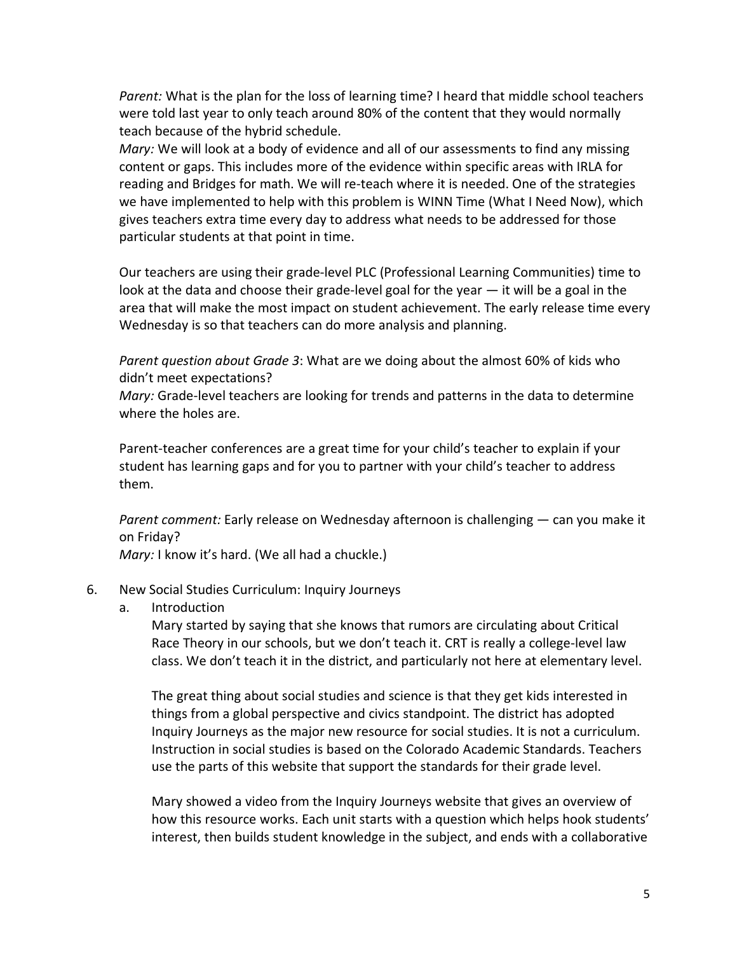*Parent:* What is the plan for the loss of learning time? I heard that middle school teachers were told last year to only teach around 80% of the content that they would normally teach because of the hybrid schedule.

*Mary:* We will look at a body of evidence and all of our assessments to find any missing content or gaps. This includes more of the evidence within specific areas with IRLA for reading and Bridges for math. We will re-teach where it is needed. One of the strategies we have implemented to help with this problem is WINN Time (What I Need Now), which gives teachers extra time every day to address what needs to be addressed for those particular students at that point in time.

Our teachers are using their grade-level PLC (Professional Learning Communities) time to look at the data and choose their grade-level goal for the year  $-$  it will be a goal in the area that will make the most impact on student achievement. The early release time every Wednesday is so that teachers can do more analysis and planning.

*Parent question about Grade 3*: What are we doing about the almost 60% of kids who didn't meet expectations?

*Mary:* Grade-level teachers are looking for trends and patterns in the data to determine where the holes are.

Parent-teacher conferences are a great time for your child's teacher to explain if your student has learning gaps and for you to partner with your child's teacher to address them.

*Parent comment:* Early release on Wednesday afternoon is challenging — can you make it on Friday?

*Mary:* I know it's hard. (We all had a chuckle.)

### 6. New Social Studies Curriculum: Inquiry Journeys

a. Introduction

Mary started by saying that she knows that rumors are circulating about Critical Race Theory in our schools, but we don't teach it. CRT is really a college-level law class. We don't teach it in the district, and particularly not here at elementary level.

The great thing about social studies and science is that they get kids interested in things from a global perspective and civics standpoint. The district has adopted Inquiry Journeys as the major new resource for social studies. It is not a curriculum. Instruction in social studies is based on the Colorado Academic Standards. Teachers use the parts of this website that support the standards for their grade level.

Mary showed a video from the Inquiry Journeys website that gives an overview of how this resource works. Each unit starts with a question which helps hook students' interest, then builds student knowledge in the subject, and ends with a collaborative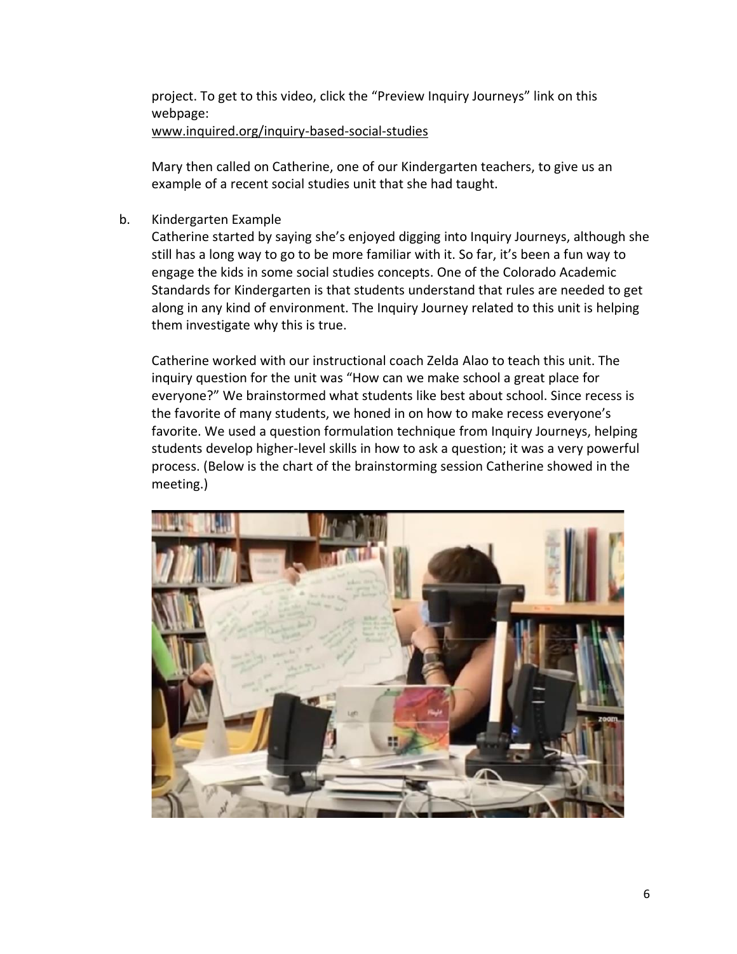project. To get to this video, click the "Preview Inquiry Journeys" link on this webpage: [www.inquired.org/inquiry-based-social-studies](http://www.inquired.org/inquiry-based-social-studies)

Mary then called on Catherine, one of our Kindergarten teachers, to give us an example of a recent social studies unit that she had taught.

b. Kindergarten Example

Catherine started by saying she's enjoyed digging into Inquiry Journeys, although she still has a long way to go to be more familiar with it. So far, it's been a fun way to engage the kids in some social studies concepts. One of the Colorado Academic Standards for Kindergarten is that students understand that rules are needed to get along in any kind of environment. The Inquiry Journey related to this unit is helping them investigate why this is true.

Catherine worked with our instructional coach Zelda Alao to teach this unit. The inquiry question for the unit was "How can we make school a great place for everyone?" We brainstormed what students like best about school. Since recess is the favorite of many students, we honed in on how to make recess everyone's favorite. We used a question formulation technique from Inquiry Journeys, helping students develop higher-level skills in how to ask a question; it was a very powerful process. (Below is the chart of the brainstorming session Catherine showed in the meeting.)

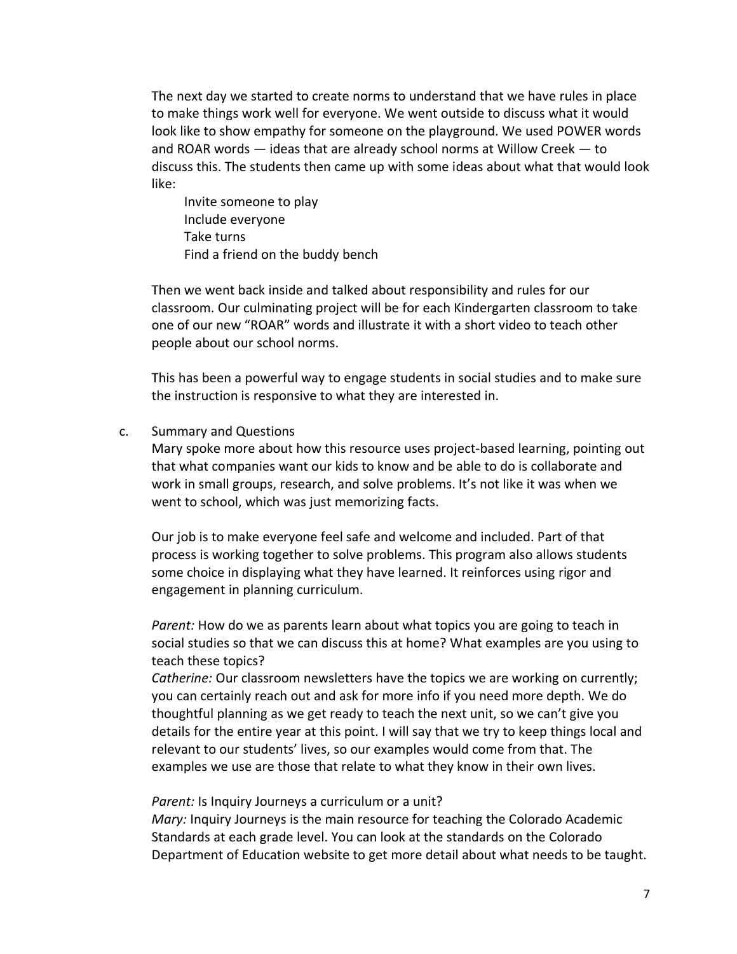The next day we started to create norms to understand that we have rules in place to make things work well for everyone. We went outside to discuss what it would look like to show empathy for someone on the playground. We used POWER words and ROAR words — ideas that are already school norms at Willow Creek — to discuss this. The students then came up with some ideas about what that would look like:

Invite someone to play Include everyone Take turns Find a friend on the buddy bench

Then we went back inside and talked about responsibility and rules for our classroom. Our culminating project will be for each Kindergarten classroom to take one of our new "ROAR" words and illustrate it with a short video to teach other people about our school norms.

This has been a powerful way to engage students in social studies and to make sure the instruction is responsive to what they are interested in.

#### c. Summary and Questions

Mary spoke more about how this resource uses project-based learning, pointing out that what companies want our kids to know and be able to do is collaborate and work in small groups, research, and solve problems. It's not like it was when we went to school, which was just memorizing facts.

Our job is to make everyone feel safe and welcome and included. Part of that process is working together to solve problems. This program also allows students some choice in displaying what they have learned. It reinforces using rigor and engagement in planning curriculum.

*Parent:* How do we as parents learn about what topics you are going to teach in social studies so that we can discuss this at home? What examples are you using to teach these topics?

*Catherine:* Our classroom newsletters have the topics we are working on currently; you can certainly reach out and ask for more info if you need more depth. We do thoughtful planning as we get ready to teach the next unit, so we can't give you details for the entire year at this point. I will say that we try to keep things local and relevant to our students' lives, so our examples would come from that. The examples we use are those that relate to what they know in their own lives.

### *Parent:* Is Inquiry Journeys a curriculum or a unit?

*Mary:* Inquiry Journeys is the main resource for teaching the Colorado Academic Standards at each grade level. You can look at the standards on the Colorado Department of Education website to get more detail about what needs to be taught.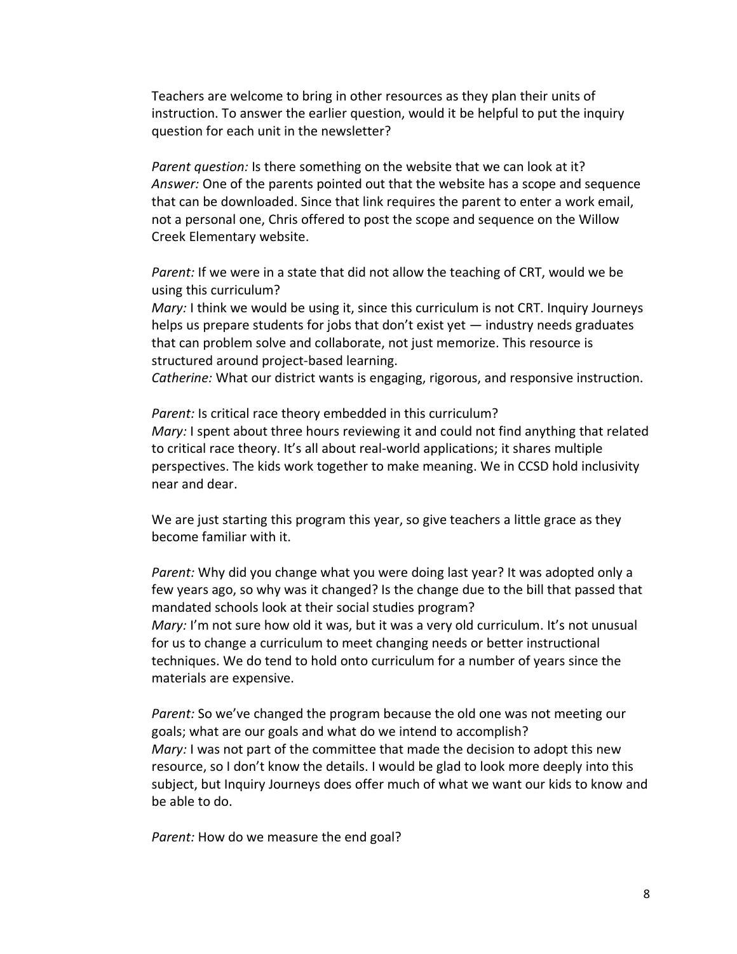Teachers are welcome to bring in other resources as they plan their units of instruction. To answer the earlier question, would it be helpful to put the inquiry question for each unit in the newsletter?

*Parent question:* Is there something on the website that we can look at it? *Answer:* One of the parents pointed out that the website has a scope and sequence that can be downloaded. Since that link requires the parent to enter a work email, not a personal one, Chris offered to post the scope and sequence on the Willow Creek Elementary website.

*Parent:* If we were in a state that did not allow the teaching of CRT, would we be using this curriculum?

*Mary:* I think we would be using it, since this curriculum is not CRT. Inquiry Journeys helps us prepare students for jobs that don't exist yet — industry needs graduates that can problem solve and collaborate, not just memorize. This resource is structured around project-based learning.

*Catherine:* What our district wants is engaging, rigorous, and responsive instruction.

*Parent:* Is critical race theory embedded in this curriculum? *Mary:* I spent about three hours reviewing it and could not find anything that related to critical race theory. It's all about real-world applications; it shares multiple perspectives. The kids work together to make meaning. We in CCSD hold inclusivity near and dear.

We are just starting this program this year, so give teachers a little grace as they become familiar with it.

*Parent:* Why did you change what you were doing last year? It was adopted only a few years ago, so why was it changed? Is the change due to the bill that passed that mandated schools look at their social studies program? *Mary:* I'm not sure how old it was, but it was a very old curriculum. It's not unusual for us to change a curriculum to meet changing needs or better instructional techniques. We do tend to hold onto curriculum for a number of years since the materials are expensive.

*Parent:* So we've changed the program because the old one was not meeting our goals; what are our goals and what do we intend to accomplish? *Mary:* I was not part of the committee that made the decision to adopt this new resource, so I don't know the details. I would be glad to look more deeply into this subject, but Inquiry Journeys does offer much of what we want our kids to know and be able to do.

*Parent:* How do we measure the end goal?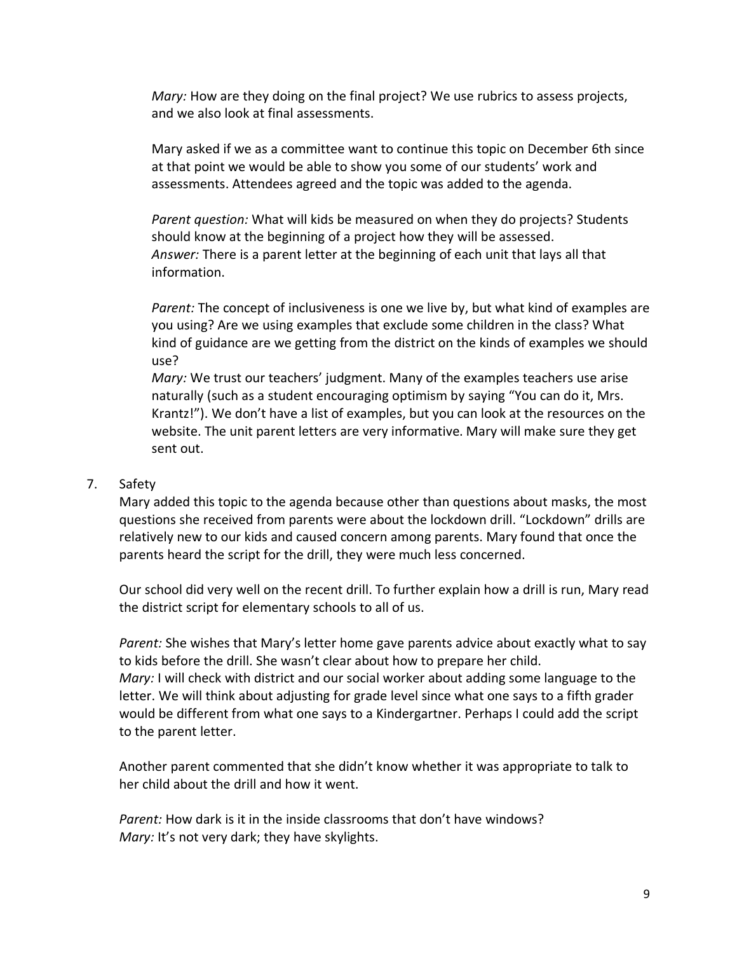*Mary:* How are they doing on the final project? We use rubrics to assess projects, and we also look at final assessments.

Mary asked if we as a committee want to continue this topic on December 6th since at that point we would be able to show you some of our students' work and assessments. Attendees agreed and the topic was added to the agenda.

*Parent question:* What will kids be measured on when they do projects? Students should know at the beginning of a project how they will be assessed. *Answer:* There is a parent letter at the beginning of each unit that lays all that information.

*Parent:* The concept of inclusiveness is one we live by, but what kind of examples are you using? Are we using examples that exclude some children in the class? What kind of guidance are we getting from the district on the kinds of examples we should use?

*Mary:* We trust our teachers' judgment. Many of the examples teachers use arise naturally (such as a student encouraging optimism by saying "You can do it, Mrs. Krantz!"). We don't have a list of examples, but you can look at the resources on the website. The unit parent letters are very informative. Mary will make sure they get sent out.

### 7. Safety

Mary added this topic to the agenda because other than questions about masks, the most questions she received from parents were about the lockdown drill. "Lockdown" drills are relatively new to our kids and caused concern among parents. Mary found that once the parents heard the script for the drill, they were much less concerned.

Our school did very well on the recent drill. To further explain how a drill is run, Mary read the district script for elementary schools to all of us.

*Parent:* She wishes that Mary's letter home gave parents advice about exactly what to say to kids before the drill. She wasn't clear about how to prepare her child. *Mary:* I will check with district and our social worker about adding some language to the letter. We will think about adjusting for grade level since what one says to a fifth grader would be different from what one says to a Kindergartner. Perhaps I could add the script to the parent letter.

Another parent commented that she didn't know whether it was appropriate to talk to her child about the drill and how it went.

*Parent:* How dark is it in the inside classrooms that don't have windows? *Mary:* It's not very dark; they have skylights.